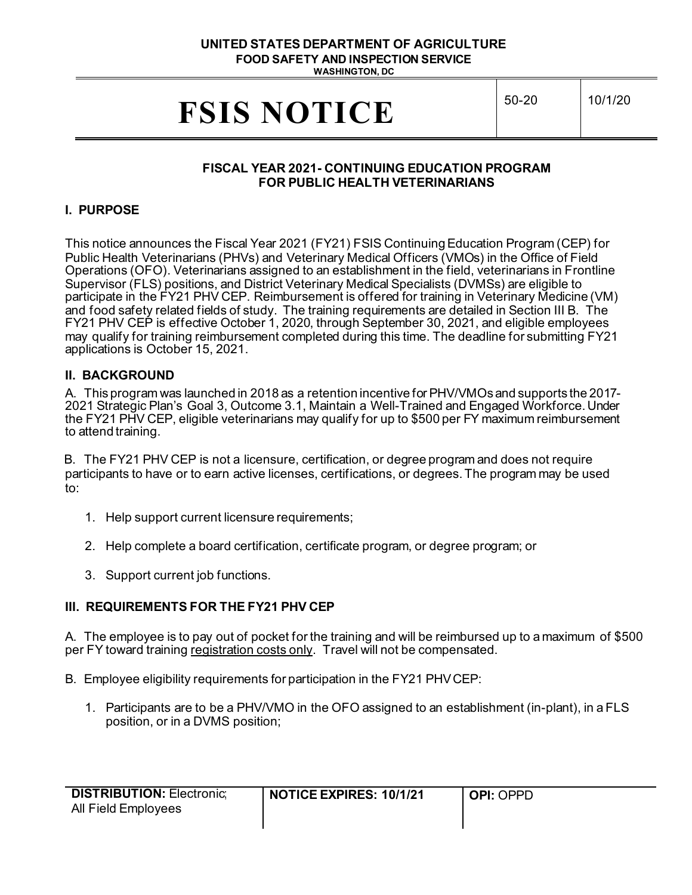#### **UNITED STATES DEPARTMENT OF AGRICULTURE FOOD SAFETY AND INSPECTION SERVICE WASHINGTON, DC**

**FSIS NOTICE**  $\begin{bmatrix}50-20\\10/1/20\end{bmatrix}$ 

## **FISCAL YEAR 2021- CONTINUING EDUCATION PROGRAM FOR PUBLIC HEALTH VETERINARIANS**

## **I. PURPOSE**

 participate in the FY21 PHV CEP. Reimbursement is offered for training in Veterinary Medicine (VM) may qualify for training reimbursement completed during this time. The deadline for submitting FY21 This notice announces the Fiscal Year 2021 (FY21) FSIS Continuing Education Program (CEP) for Public Health Veterinarians (PHVs) and Veterinary Medical Officers (VMOs) in the Office of Field Operations (OFO). Veterinarians assigned to an establishment in the field, veterinarians in Frontline Supervisor (FLS) positions, and District Veterinary Medical Specialists (DVMSs) are eligible to and food safety related fields of study. The training requirements are detailed in Section III B. The FY21 PHV CEP is effective October 1, 2020, through September 30, 2021, and eligible employees applications is October 15, 2021.

#### **II. BACKGROUND**

A. This program was launched in 2018 as a retention incentive for PHV/VMOs and supports the 2017- to attend training. A. This program was launched in 2018 as a retention incentive for PHV/VMOs and supports the 2017- <sup>2021</sup> Strategic Plan's Goal 3, Outcome 3.1, Maintain a Well-Trained and Engaged Workforce. Under the FY21 PHV CEP, eligible veterinarians may qualify for up to \$500 per FY maximum reimbursement

 B. The FY21 PHV CEP is not a licensure, certification, or degree program and does not require participants to have or to earn active licenses, certifications, or degrees. The program may be used to:

- 1. Help support current licensure requirements;
- 2. Help complete a board certification, certificate program, or degree program; or
- 3. Support current job functions.

# **III. REQUIREMENTS FOR THE FY21 PHV CEP**

 A. The employee is to pay out of pocket for the training and will be reimbursed up to a maximum of \$500 per FY toward training <u>registration costs only</u>. Travel will not be compensated.

- B. Employee eligibility requirements for participation in the FY21 PHVCEP:
	- 1. Participants are to be a PHV/VMO in the OFO assigned to an establishment (in-plant), in a FLS position, or in a DVMS position;

| <b>DISTRIBUTION: Electronic:</b> | <b>NOTICE EXPIRES: 10/1/21</b> | l <b>Opi</b> : Oppd |
|----------------------------------|--------------------------------|---------------------|
| All Field Employees              |                                |                     |
|                                  |                                |                     |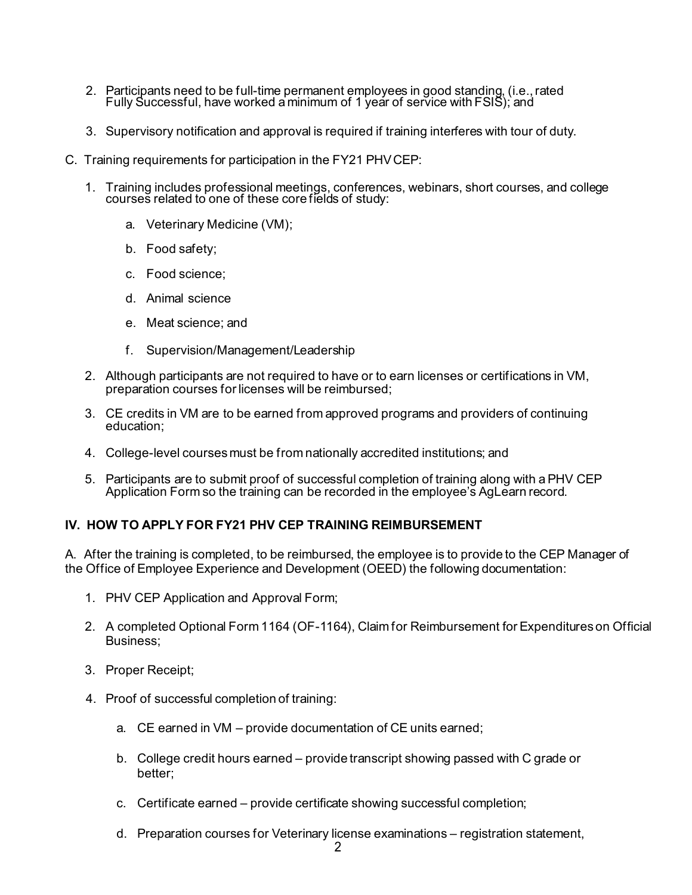- 2. Participants need to be full-time permanent employees in good standing, (i.e.,rated Fully Successful, have worked a minimum of 1 year of service with FSIS); and
- 3. Supervisory notification and approval is required if training interferes with tour of duty.
- C. Training requirements for participation in the FY21 PHVCEP:
	- 1. Training includes professional meetings, conferences, webinars, short courses, and college courses related to one of these core fields of study:
		- a. Veterinary Medicine (VM);
		- b. Food safety;
		- c. Food science;
		- d. Animal science
		- $\overline{a}$ e. Meat science; and
		- f. Supervision/Management/Leadership
	- 2. Although participants are not required to have or to earn licenses or certifications in VM, preparation courses for licenses will be reimbursed;
	- 3. CE credits in VM are to be earned from approved programs and providers of continuing education;
	- 4. College-level courses must be from nationally accredited institutions; and
	- 5. Participants are to submit proof of successful completion of training along with a PHV CEP Application Form so the training can be recorded in the employee's AgLearn record.

# **IV. HOW TO APPLY FOR FY21 PHV CEP TRAINING REIMBURSEMENT**

 A. After the training is completed, to be reimbursed, the employee is to provide to the CEP Manager of the Office of Employee Experience and Development (OEED) the following documentation:

- 1. PHV CEP Application and Approval Form;
- 2. A completed Optional Form 1164 (OF-1164), Claim for Reimbursement for Expenditures on Official Business;
- 3. Proper Receipt;
- 4. Proof of successful completion of training:
	- a. CE earned in VM provide documentation of CE units earned;
	- b. College credit hours earned provide transcript showing passed with C grade or better;
	- c. Certificate earned provide certificate showing successful completion;
	- d. Preparation courses for Veterinary license examinations registration statement,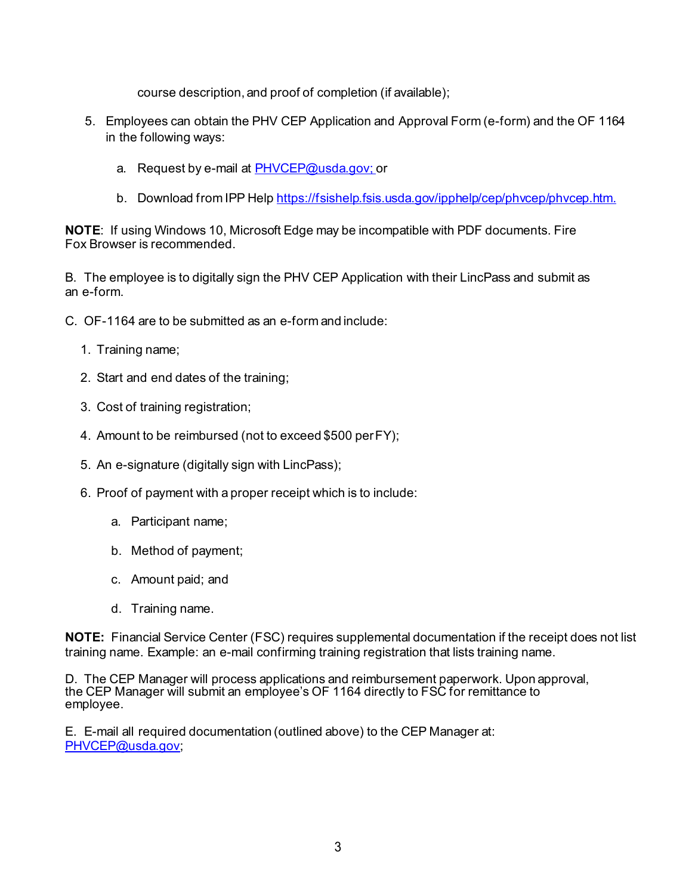course description, and proof of completion (if available);

- 5. Employees can obtain the PHV CEP Application and Approval Form (e-form) and the OF 1164 in the following ways:
	- a. Request by e-mail at [PHVCEP@usda.gov; o](mailto:PHVCEP@usda.gov;)r
	- b. Download from IPP Help [https://fsishelp.fsis.usda.gov/ipphelp/cep/phvcep/phvcep.htm.](https://fsishelp.fsis.usda.gov/ipphelp/cep/phvcep/phvcep.htm)

**NOTE**: If using Windows 10, Microsoft Edge may be incompatible with PDF documents. Fire Fox Browser is recommended.

 B. The employee is to digitally sign the PHV CEP Application with their LincPass and submit as an e-form.

- C. OF-1164 are to be submitted as an e-form and include:
	- 1. Training name;
	- 2. Start and end dates of the training;
	- 3. Cost of training registration;
	- 4. Amount to be reimbursed (not to exceed \$500 perFY);
	- 5. An e-signature (digitally sign with LincPass);
	- 6. Proof of payment with a proper receipt which is to include:
		- a. Participant name;
		- b. Method of payment;
		- c. Amount paid; and
		- d. Training name.

 **NOTE:** Financial Service Center (FSC) requires supplemental documentation if the receipt does not list training name. Example: an e-mail confirming training registration that lists training name.

 D. The CEP Manager will process applications and reimbursement paperwork. Upon approval, the CEP Manager will submit an employee's OF 1164 directly to FSC for remittance to employee.

 E. E-mail all required documentation (outlined above) to the CEP Manager at: [PHVCEP@usda.gov;](mailto:PHVCEP@usda.gov)